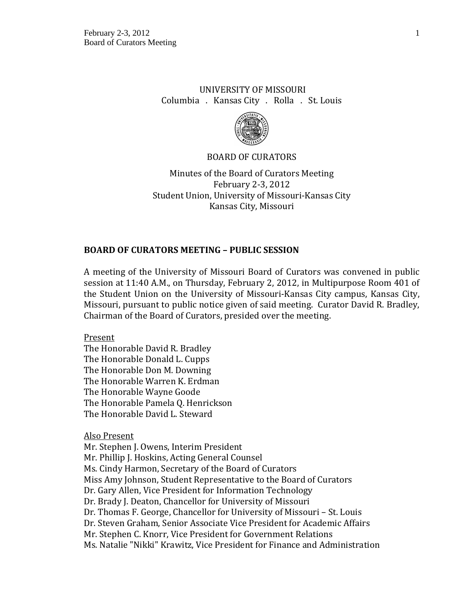# UNIVERSITY OF MISSOURI Columbia . Kansas City . Rolla . St. Louis



#### BOARD OF CURATORS

Minutes of the Board of Curators Meeting February 2-3, 2012 Student Union, University of Missouri-Kansas City Kansas City, Missouri

#### **BOARD OF CURATORS MEETING – PUBLIC SESSION**

A meeting of the University of Missouri Board of Curators was convened in public session at 11:40 A.M., on Thursday, February 2, 2012, in Multipurpose Room 401 of the Student Union on the University of Missouri-Kansas City campus, Kansas City, Missouri, pursuant to public notice given of said meeting. Curator David R. Bradley, Chairman of the Board of Curators, presided over the meeting.

Present

The Honorable David R. Bradley The Honorable Donald L. Cupps The Honorable Don M. Downing The Honorable Warren K. Erdman The Honorable Wayne Goode The Honorable Pamela Q. Henrickson The Honorable David L. Steward

Also Present

Mr. Stephen J. Owens, Interim President Mr. Phillip J. Hoskins, Acting General Counsel Ms. Cindy Harmon, Secretary of the Board of Curators Miss Amy Johnson, Student Representative to the Board of Curators Dr. Gary Allen, Vice President for Information Technology Dr. Brady J. Deaton, Chancellor for University of Missouri Dr. Thomas F. George, Chancellor for University of Missouri – St. Louis Dr. Steven Graham, Senior Associate Vice President for Academic Affairs Mr. Stephen C. Knorr, Vice President for Government Relations Ms. Natalie "Nikki" Krawitz, Vice President for Finance and Administration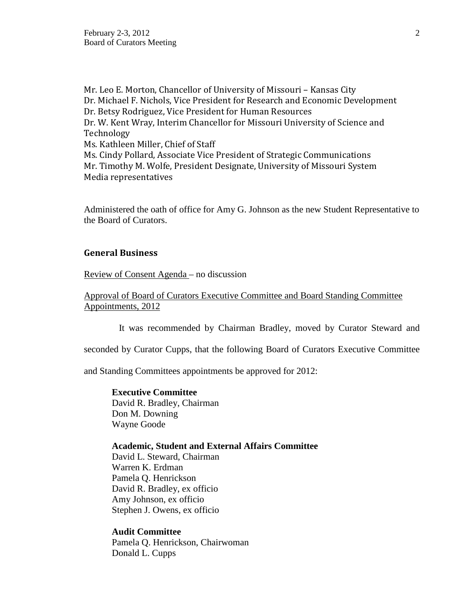Mr. Leo E. Morton, Chancellor of University of Missouri – Kansas City Dr. Michael F. Nichols, Vice President for Research and Economic Development Dr. Betsy Rodriguez, Vice President for Human Resources Dr. W. Kent Wray, Interim Chancellor for Missouri University of Science and Technology Ms. Kathleen Miller, Chief of Staff Ms. Cindy Pollard, Associate Vice President of Strategic Communications Mr. Timothy M. Wolfe, President Designate, University of Missouri System Media representatives

Administered the oath of office for Amy G. Johnson as the new Student Representative to the Board of Curators.

## **General Business**

Review of Consent Agenda – no discussion

Approval of Board of Curators Executive Committee and Board Standing Committee Appointments, 2012

It was recommended by Chairman Bradley, moved by Curator Steward and

seconded by Curator Cupps, that the following Board of Curators Executive Committee

and Standing Committees appointments be approved for 2012:

**Executive Committee**  David R. Bradley, Chairman Don M. Downing Wayne Goode

### **Academic, Student and External Affairs Committee**

David L. Steward, Chairman Warren K. Erdman Pamela Q. Henrickson David R. Bradley, ex officio Amy Johnson, ex officio Stephen J. Owens, ex officio

#### **Audit Committee**

Pamela Q. Henrickson, Chairwoman Donald L. Cupps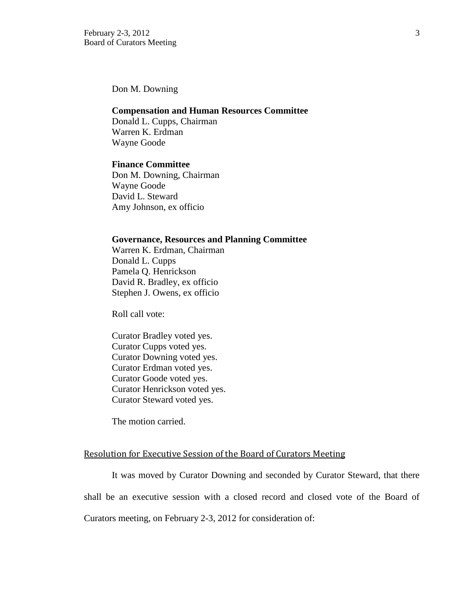Don M. Downing

#### **Compensation and Human Resources Committee**

Donald L. Cupps, Chairman Warren K. Erdman Wayne Goode

#### **Finance Committee**

Don M. Downing, Chairman Wayne Goode David L. Steward Amy Johnson, ex officio

#### **Governance, Resources and Planning Committee**

Warren K. Erdman, Chairman Donald L. Cupps Pamela Q. Henrickson David R. Bradley, ex officio Stephen J. Owens, ex officio

Roll call vote:

Curator Bradley voted yes. Curator Cupps voted yes. Curator Downing voted yes. Curator Erdman voted yes. Curator Goode voted yes. Curator Henrickson voted yes. Curator Steward voted yes.

The motion carried.

#### Resolution for Executive Session of the Board of Curators Meeting

It was moved by Curator Downing and seconded by Curator Steward, that there

shall be an executive session with a closed record and closed vote of the Board of

Curators meeting, on February 2-3, 2012 for consideration of: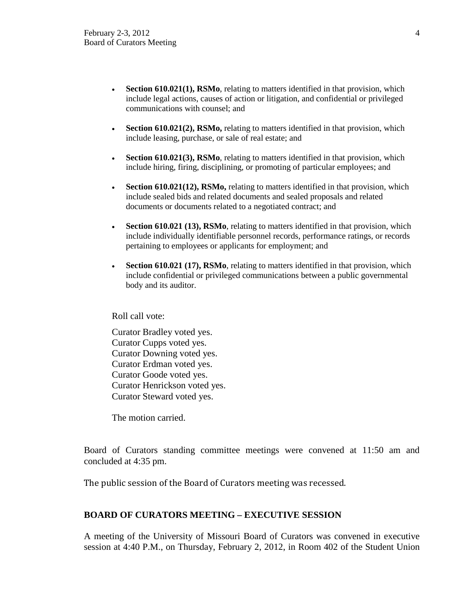- **Section 610.021(1), RSMo**, relating to matters identified in that provision, which include legal actions, causes of action or litigation, and confidential or privileged communications with counsel; and
- **Section 610.021(2), RSMo,** relating to matters identified in that provision, which include leasing, purchase, or sale of real estate; and
- **Section 610.021(3), RSMo**, relating to matters identified in that provision, which include hiring, firing, disciplining, or promoting of particular employees; and
- **Section 610.021(12), RSMo,** relating to matters identified in that provision, which include sealed bids and related documents and sealed proposals and related documents or documents related to a negotiated contract; and
- **Section 610.021 (13), RSMo**, relating to matters identified in that provision, which include individually identifiable personnel records, performance ratings, or records pertaining to employees or applicants for employment; and
- **Section 610.021 (17), RSMo**, relating to matters identified in that provision, which include confidential or privileged communications between a public governmental body and its auditor.

Roll call vote:

Curator Bradley voted yes. Curator Cupps voted yes. Curator Downing voted yes. Curator Erdman voted yes. Curator Goode voted yes. Curator Henrickson voted yes. Curator Steward voted yes.

The motion carried.

Board of Curators standing committee meetings were convened at 11:50 am and concluded at 4:35 pm.

The public session of the Board of Curators meeting was recessed.

# **BOARD OF CURATORS MEETING – EXECUTIVE SESSION**

A meeting of the University of Missouri Board of Curators was convened in executive session at 4:40 P.M., on Thursday, February 2, 2012, in Room 402 of the Student Union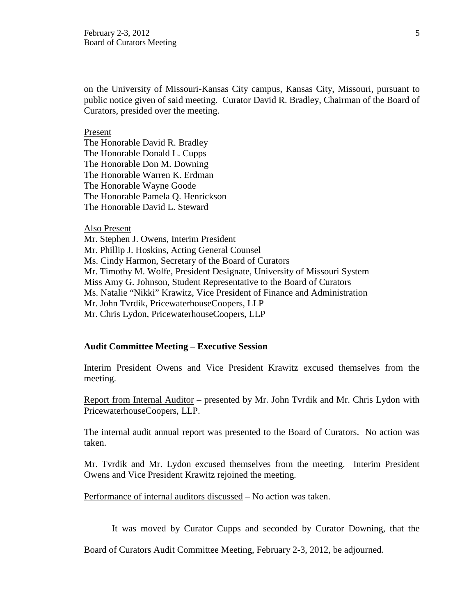on the University of Missouri-Kansas City campus, Kansas City, Missouri, pursuant to public notice given of said meeting. Curator David R. Bradley, Chairman of the Board of Curators, presided over the meeting.

#### Present

The Honorable David R. Bradley The Honorable Donald L. Cupps The Honorable Don M. Downing The Honorable Warren K. Erdman The Honorable Wayne Goode The Honorable Pamela Q. Henrickson The Honorable David L. Steward

#### Also Present

Mr. Stephen J. Owens, Interim President Mr. Phillip J. Hoskins, Acting General Counsel Ms. Cindy Harmon, Secretary of the Board of Curators Mr. Timothy M. Wolfe, President Designate, University of Missouri System Miss Amy G. Johnson, Student Representative to the Board of Curators Ms. Natalie "Nikki" Krawitz, Vice President of Finance and Administration Mr. John Tvrdik, PricewaterhouseCoopers, LLP Mr. Chris Lydon, PricewaterhouseCoopers, LLP

#### **Audit Committee Meeting – Executive Session**

Interim President Owens and Vice President Krawitz excused themselves from the meeting.

Report from Internal Auditor – presented by Mr. John Tvrdik and Mr. Chris Lydon with PricewaterhouseCoopers, LLP.

The internal audit annual report was presented to the Board of Curators. No action was taken.

Mr. Tvrdik and Mr. Lydon excused themselves from the meeting. Interim President Owens and Vice President Krawitz rejoined the meeting.

Performance of internal auditors discussed – No action was taken.

It was moved by Curator Cupps and seconded by Curator Downing, that the

Board of Curators Audit Committee Meeting, February 2-3, 2012, be adjourned.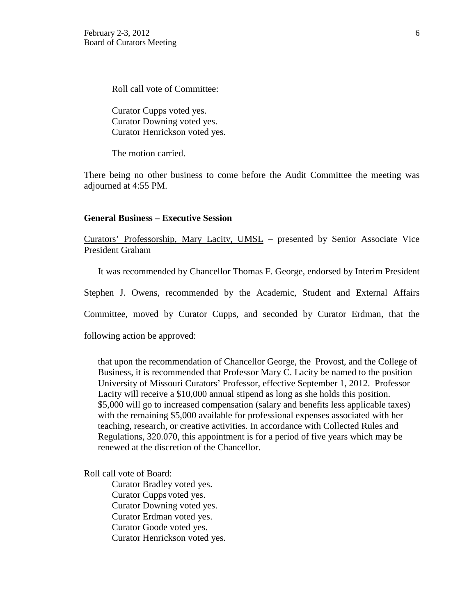Roll call vote of Committee:

Curator Cupps voted yes. Curator Downing voted yes. Curator Henrickson voted yes.

The motion carried.

There being no other business to come before the Audit Committee the meeting was adjourned at 4:55 PM.

## **General Business – Executive Session**

Curators' Professorship, Mary Lacity, UMSL – presented by Senior Associate Vice President Graham

It was recommended by Chancellor Thomas F. George, endorsed by Interim President

Stephen J. Owens, recommended by the Academic, Student and External Affairs

Committee, moved by Curator Cupps, and seconded by Curator Erdman, that the

following action be approved:

that upon the recommendation of Chancellor George, the Provost, and the College of Business, it is recommended that Professor Mary C. Lacity be named to the position University of Missouri Curators' Professor, effective September 1, 2012. Professor Lacity will receive a \$10,000 annual stipend as long as she holds this position. \$5,000 will go to increased compensation (salary and benefits less applicable taxes) with the remaining \$5,000 available for professional expenses associated with her teaching, research, or creative activities. In accordance with Collected Rules and Regulations, 320.070, this appointment is for a period of five years which may be renewed at the discretion of the Chancellor.

Roll call vote of Board:

Curator Bradley voted yes. Curator Cupps voted yes. Curator Downing voted yes. Curator Erdman voted yes. Curator Goode voted yes. Curator Henrickson voted yes.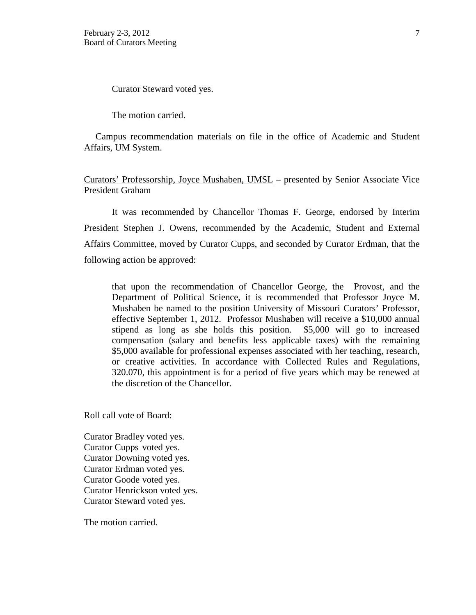Curator Steward voted yes.

The motion carried.

 Campus recommendation materials on file in the office of Academic and Student Affairs, UM System.

Curators' Professorship, Joyce Mushaben, UMSL – presented by Senior Associate Vice President Graham

It was recommended by Chancellor Thomas F. George, endorsed by Interim President Stephen J. Owens, recommended by the Academic, Student and External Affairs Committee, moved by Curator Cupps, and seconded by Curator Erdman, that the following action be approved:

that upon the recommendation of Chancellor George, the Provost, and the Department of Political Science, it is recommended that Professor Joyce M. Mushaben be named to the position University of Missouri Curators' Professor, effective September 1, 2012. Professor Mushaben will receive a \$10,000 annual stipend as long as she holds this position. \$5,000 will go to increased compensation (salary and benefits less applicable taxes) with the remaining \$5,000 available for professional expenses associated with her teaching, research, or creative activities. In accordance with Collected Rules and Regulations, 320.070, this appointment is for a period of five years which may be renewed at the discretion of the Chancellor.

Roll call vote of Board:

Curator Bradley voted yes. Curator Cupps voted yes. Curator Downing voted yes. Curator Erdman voted yes. Curator Goode voted yes. Curator Henrickson voted yes. Curator Steward voted yes.

The motion carried.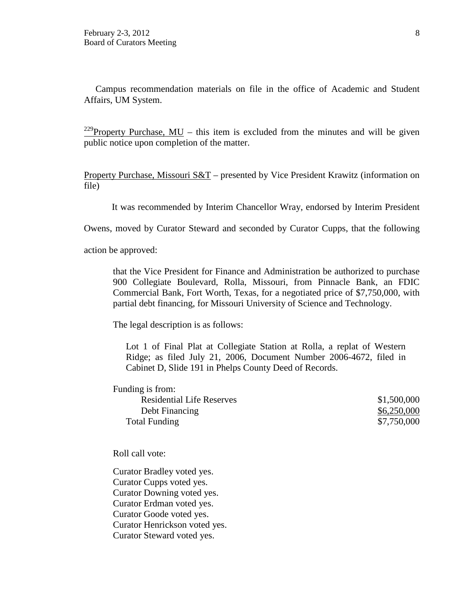Campus recommendation materials on file in the office of Academic and Student Affairs, UM System.

<sup>229</sup>Property Purchase, MU – this item is excluded from the minutes and will be given public notice upon completion of the matter.

Property Purchase, Missouri S&T – presented by Vice President Krawitz (information on file)

It was recommended by Interim Chancellor Wray, endorsed by Interim President

Owens, moved by Curator Steward and seconded by Curator Cupps, that the following

action be approved:

that the Vice President for Finance and Administration be authorized to purchase 900 Collegiate Boulevard, Rolla, Missouri, from Pinnacle Bank, an FDIC Commercial Bank, Fort Worth, Texas, for a negotiated price of \$7,750,000, with partial debt financing, for Missouri University of Science and Technology.

The legal description is as follows:

Lot 1 of Final Plat at Collegiate Station at Rolla, a replat of Western Ridge; as filed July 21, 2006, Document Number 2006-4672, filed in Cabinet D, Slide 191 in Phelps County Deed of Records.

| Funding is from:                 |             |
|----------------------------------|-------------|
| <b>Residential Life Reserves</b> | \$1,500,000 |
| Debt Financing                   | \$6,250,000 |
| Total Funding                    | \$7,750,000 |

Roll call vote:

Curator Bradley voted yes. Curator Cupps voted yes. Curator Downing voted yes. Curator Erdman voted yes. Curator Goode voted yes. Curator Henrickson voted yes. Curator Steward voted yes.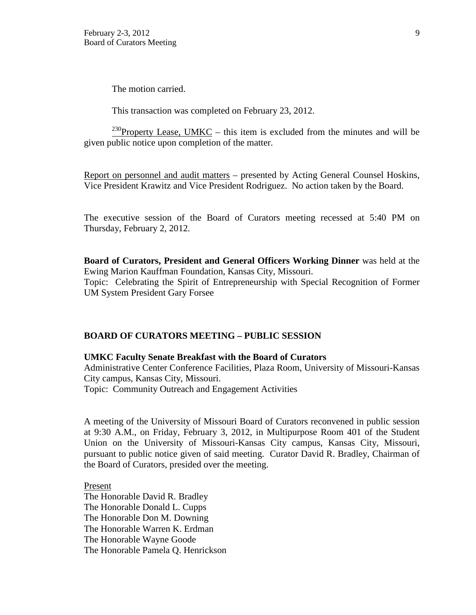The motion carried.

This transaction was completed on February 23, 2012.

<sup>230</sup>Property Lease, UMKC – this item is excluded from the minutes and will be given public notice upon completion of the matter.

Report on personnel and audit matters – presented by Acting General Counsel Hoskins, Vice President Krawitz and Vice President Rodriguez. No action taken by the Board.

The executive session of the Board of Curators meeting recessed at 5:40 PM on Thursday, February 2, 2012.

**Board of Curators, President and General Officers Working Dinner** was held at the Ewing Marion Kauffman Foundation, Kansas City, Missouri. Topic: Celebrating the Spirit of Entrepreneurship with Special Recognition of Former UM System President Gary Forsee

#### **BOARD OF CURATORS MEETING – PUBLIC SESSION**

#### **UMKC Faculty Senate Breakfast with the Board of Curators**

Administrative Center Conference Facilities, Plaza Room, University of Missouri-Kansas City campus, Kansas City, Missouri.

Topic: Community Outreach and Engagement Activities

A meeting of the University of Missouri Board of Curators reconvened in public session at 9:30 A.M., on Friday, February 3, 2012, in Multipurpose Room 401 of the Student Union on the University of Missouri-Kansas City campus, Kansas City, Missouri, pursuant to public notice given of said meeting. Curator David R. Bradley, Chairman of the Board of Curators, presided over the meeting.

Present The Honorable David R. Bradley The Honorable Donald L. Cupps The Honorable Don M. Downing The Honorable Warren K. Erdman The Honorable Wayne Goode The Honorable Pamela Q. Henrickson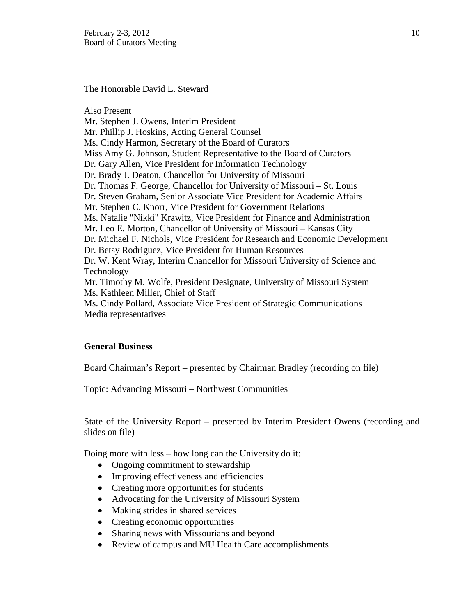The Honorable David L. Steward

Also Present Mr. Stephen J. Owens, Interim President Mr. Phillip J. Hoskins, Acting General Counsel Ms. Cindy Harmon, Secretary of the Board of Curators Miss Amy G. Johnson, Student Representative to the Board of Curators Dr. Gary Allen, Vice President for Information Technology Dr. Brady J. Deaton, Chancellor for University of Missouri Dr. Thomas F. George, Chancellor for University of Missouri – St. Louis Dr. Steven Graham, Senior Associate Vice President for Academic Affairs Mr. Stephen C. Knorr, Vice President for Government Relations Ms. Natalie "Nikki" Krawitz, Vice President for Finance and Administration Mr. Leo E. Morton, Chancellor of University of Missouri – Kansas City Dr. Michael F. Nichols, Vice President for Research and Economic Development Dr. Betsy Rodriguez, Vice President for Human Resources Dr. W. Kent Wray, Interim Chancellor for Missouri University of Science and Technology Mr. Timothy M. Wolfe, President Designate, University of Missouri System Ms. Kathleen Miller, Chief of Staff Ms. Cindy Pollard, Associate Vice President of Strategic Communications Media representatives

# **General Business**

Board Chairman's Report – presented by Chairman Bradley (recording on file)

Topic: Advancing Missouri – Northwest Communities

State of the University Report – presented by Interim President Owens (recording and slides on file)

Doing more with less – how long can the University do it:

- Ongoing commitment to stewardship
- Improving effectiveness and efficiencies
- Creating more opportunities for students
- Advocating for the University of Missouri System
- Making strides in shared services
- Creating economic opportunities
- Sharing news with Missourians and beyond
- Review of campus and MU Health Care accomplishments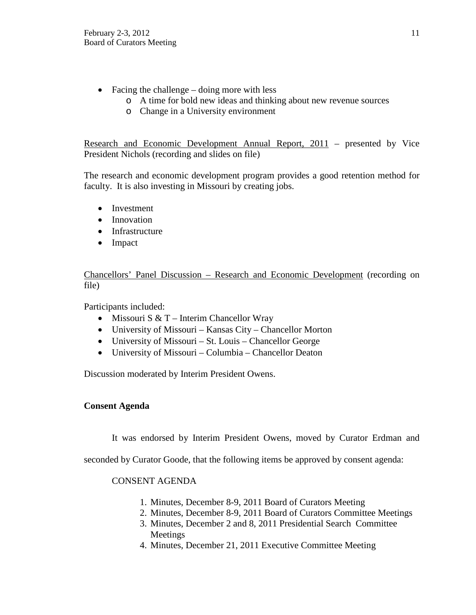- Facing the challenge doing more with less
	- o A time for bold new ideas and thinking about new revenue sources
	- o Change in a University environment

Research and Economic Development Annual Report, 2011 – presented by Vice President Nichols (recording and slides on file)

The research and economic development program provides a good retention method for faculty. It is also investing in Missouri by creating jobs.

- Investment
- Innovation
- Infrastructure
- Impact

Chancellors' Panel Discussion – Research and Economic Development (recording on file)

Participants included:

- Missouri S  $& T$  Interim Chancellor Wray
- University of Missouri Kansas City Chancellor Morton
- University of Missouri St. Louis Chancellor George
- University of Missouri Columbia Chancellor Deaton

Discussion moderated by Interim President Owens.

# **Consent Agenda**

It was endorsed by Interim President Owens, moved by Curator Erdman and

seconded by Curator Goode, that the following items be approved by consent agenda:

# CONSENT AGENDA

- 1. Minutes, December 8-9, 2011 Board of Curators Meeting
- 2. Minutes, December 8-9, 2011 Board of Curators Committee Meetings
- 3. Minutes, December 2 and 8, 2011 Presidential Search Committee Meetings
- 4. Minutes, December 21, 2011 Executive Committee Meeting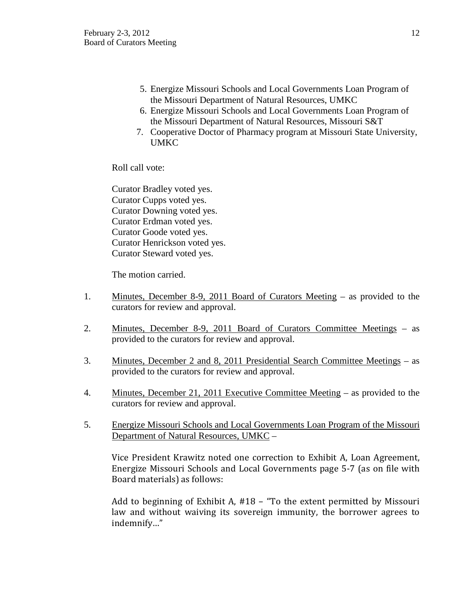- 5. Energize Missouri Schools and Local Governments Loan Program of the Missouri Department of Natural Resources, UMKC
- 6. Energize Missouri Schools and Local Governments Loan Program of the Missouri Department of Natural Resources, Missouri S&T
- 7. Cooperative Doctor of Pharmacy program at Missouri State University, **UMKC**

Roll call vote:

Curator Bradley voted yes. Curator Cupps voted yes. Curator Downing voted yes. Curator Erdman voted yes. Curator Goode voted yes. Curator Henrickson voted yes. Curator Steward voted yes.

The motion carried.

- 1. Minutes, December 8-9, 2011 Board of Curators Meeting as provided to the curators for review and approval.
- 2. Minutes, December 8-9, 2011 Board of Curators Committee Meetings as provided to the curators for review and approval.
- 3. Minutes, December 2 and 8, 2011 Presidential Search Committee Meetings as provided to the curators for review and approval.
- 4. Minutes, December 21, 2011 Executive Committee Meeting as provided to the curators for review and approval.
- 5. Energize Missouri Schools and Local Governments Loan Program of the Missouri Department of Natural Resources, UMKC –

Vice President Krawitz noted one correction to Exhibit A, Loan Agreement, Energize Missouri Schools and Local Governments page 5-7 (as on file with Board materials) as follows:

Add to beginning of Exhibit A, #18 – "To the extent permitted by Missouri law and without waiving its sovereign immunity, the borrower agrees to indemnify…"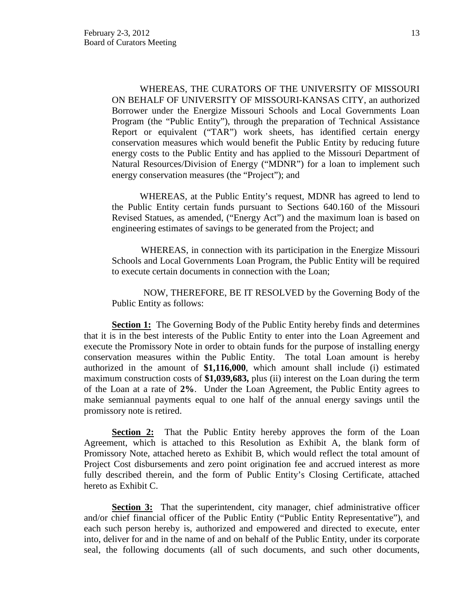WHEREAS, THE CURATORS OF THE UNIVERSITY OF MISSOURI ON BEHALF OF UNIVERSITY OF MISSOURI-KANSAS CITY, an authorized Borrower under the Energize Missouri Schools and Local Governments Loan Program (the "Public Entity"), through the preparation of Technical Assistance Report or equivalent ("TAR") work sheets, has identified certain energy conservation measures which would benefit the Public Entity by reducing future energy costs to the Public Entity and has applied to the Missouri Department of Natural Resources/Division of Energy ("MDNR") for a loan to implement such energy conservation measures (the "Project"); and

WHEREAS, at the Public Entity's request, MDNR has agreed to lend to the Public Entity certain funds pursuant to Sections 640.160 of the Missouri Revised Statues, as amended, ("Energy Act") and the maximum loan is based on engineering estimates of savings to be generated from the Project; and

WHEREAS, in connection with its participation in the Energize Missouri Schools and Local Governments Loan Program, the Public Entity will be required to execute certain documents in connection with the Loan;

NOW, THEREFORE, BE IT RESOLVED by the Governing Body of the Public Entity as follows:

**Section 1:** The Governing Body of the Public Entity hereby finds and determines that it is in the best interests of the Public Entity to enter into the Loan Agreement and execute the Promissory Note in order to obtain funds for the purpose of installing energy conservation measures within the Public Entity. The total Loan amount is hereby authorized in the amount of **\$1,116,000**, which amount shall include (i) estimated maximum construction costs of **\$1,039,683,** plus (ii) interest on the Loan during the term of the Loan at a rate of **2%**. Under the Loan Agreement, the Public Entity agrees to make semiannual payments equal to one half of the annual energy savings until the promissory note is retired.

**Section 2:** That the Public Entity hereby approves the form of the Loan Agreement, which is attached to this Resolution as Exhibit A, the blank form of Promissory Note, attached hereto as Exhibit B, which would reflect the total amount of Project Cost disbursements and zero point origination fee and accrued interest as more fully described therein, and the form of Public Entity's Closing Certificate, attached hereto as Exhibit C.

**Section 3:** That the superintendent, city manager, chief administrative officer and/or chief financial officer of the Public Entity ("Public Entity Representative"), and each such person hereby is, authorized and empowered and directed to execute, enter into, deliver for and in the name of and on behalf of the Public Entity, under its corporate seal, the following documents (all of such documents, and such other documents,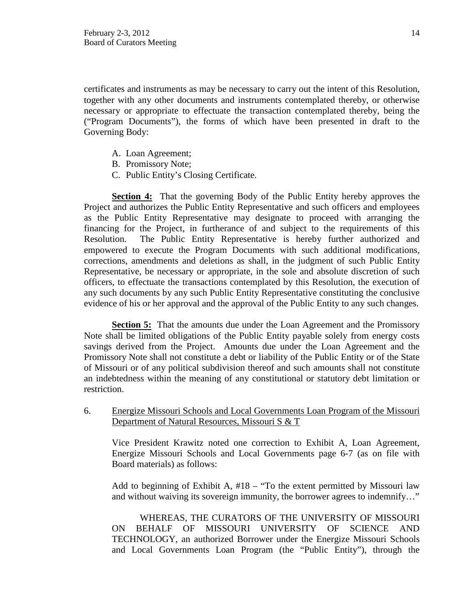certificates and instruments as may be necessary to carry out the intent of this Resolution, together with any other documents and instruments contemplated thereby, or otherwise necessary or appropriate to effectuate the transaction contemplated thereby, being the ("Program Documents"), the forms of which have been presented in draft to the Governing Body:

- A. Loan Agreement;
- B. Promissory Note;
- C. Public Entity's Closing Certificate.

**Section 4:** That the governing Body of the Public Entity hereby approves the Project and authorizes the Public Entity Representative and such officers and employees as the Public Entity Representative may designate to proceed with arranging the financing for the Project, in furtherance of and subject to the requirements of this Resolution. The Public Entity Representative is hereby further authorized and empowered to execute the Program Documents with such additional modifications, corrections, amendments and deletions as shall, in the judgment of such Public Entity Representative, be necessary or appropriate, in the sole and absolute discretion of such officers, to effectuate the transactions contemplated by this Resolution, the execution of any such documents by any such Public Entity Representative constituting the conclusive evidence of his or her approval and the approval of the Public Entity to any such changes.

**Section 5:** That the amounts due under the Loan Agreement and the Promissory Note shall be limited obligations of the Public Entity payable solely from energy costs savings derived from the Project. Amounts due under the Loan Agreement and the Promissory Note shall not constitute a debt or liability of the Public Entity or of the State of Missouri or of any political subdivision thereof and such amounts shall not constitute an indebtedness within the meaning of any constitutional or statutory debt limitation or restriction.

6. Energize Missouri Schools and Local Governments Loan Program of the Missouri Department of Natural Resources, Missouri S & T

Vice President Krawitz noted one correction to Exhibit A, Loan Agreement, Energize Missouri Schools and Local Governments page 6-7 (as on file with Board materials) as follows:

Add to beginning of Exhibit A, #18 – "To the extent permitted by Missouri law and without waiving its sovereign immunity, the borrower agrees to indemnify…"

WHEREAS, THE CURATORS OF THE UNIVERSITY OF MISSOURI ON BEHALF OF MISSOURI UNIVERSITY OF SCIENCE AND TECHNOLOGY, an authorized Borrower under the Energize Missouri Schools and Local Governments Loan Program (the "Public Entity"), through the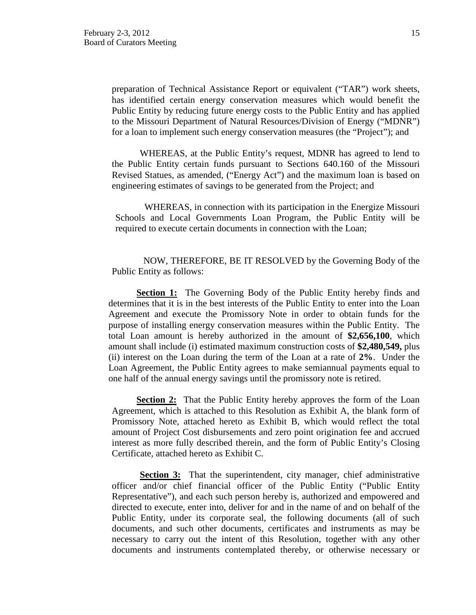preparation of Technical Assistance Report or equivalent ("TAR") work sheets, has identified certain energy conservation measures which would benefit the Public Entity by reducing future energy costs to the Public Entity and has applied to the Missouri Department of Natural Resources/Division of Energy ("MDNR") for a loan to implement such energy conservation measures (the "Project"); and

WHEREAS, at the Public Entity's request, MDNR has agreed to lend to the Public Entity certain funds pursuant to Sections 640.160 of the Missouri Revised Statues, as amended, ("Energy Act") and the maximum loan is based on engineering estimates of savings to be generated from the Project; and

WHEREAS, in connection with its participation in the Energize Missouri Schools and Local Governments Loan Program, the Public Entity will be required to execute certain documents in connection with the Loan;

NOW, THEREFORE, BE IT RESOLVED by the Governing Body of the Public Entity as follows:

**Section 1:** The Governing Body of the Public Entity hereby finds and determines that it is in the best interests of the Public Entity to enter into the Loan Agreement and execute the Promissory Note in order to obtain funds for the purpose of installing energy conservation measures within the Public Entity. The total Loan amount is hereby authorized in the amount of **\$2,656,100**, which amount shall include (i) estimated maximum construction costs of **\$2,480,549,** plus (ii) interest on the Loan during the term of the Loan at a rate of **2%**. Under the Loan Agreement, the Public Entity agrees to make semiannual payments equal to one half of the annual energy savings until the promissory note is retired.

**<u>Section 2:</u>** That the Public Entity hereby approves the form of the Loan Agreement, which is attached to this Resolution as Exhibit A, the blank form of Promissory Note, attached hereto as Exhibit B, which would reflect the total amount of Project Cost disbursements and zero point origination fee and accrued interest as more fully described therein, and the form of Public Entity's Closing Certificate, attached hereto as Exhibit C.

**Section 3:** That the superintendent, city manager, chief administrative officer and/or chief financial officer of the Public Entity ("Public Entity Representative"), and each such person hereby is, authorized and empowered and directed to execute, enter into, deliver for and in the name of and on behalf of the Public Entity, under its corporate seal, the following documents (all of such documents, and such other documents, certificates and instruments as may be necessary to carry out the intent of this Resolution, together with any other documents and instruments contemplated thereby, or otherwise necessary or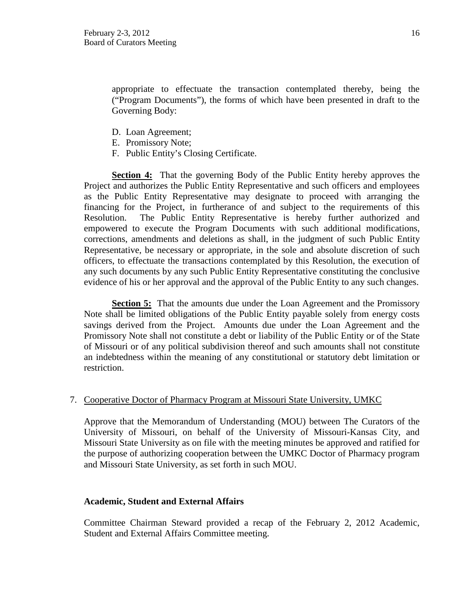appropriate to effectuate the transaction contemplated thereby, being the ("Program Documents"), the forms of which have been presented in draft to the Governing Body:

- D. Loan Agreement;
- E. Promissory Note;
- F. Public Entity's Closing Certificate.

**Section 4:** That the governing Body of the Public Entity hereby approves the Project and authorizes the Public Entity Representative and such officers and employees as the Public Entity Representative may designate to proceed with arranging the financing for the Project, in furtherance of and subject to the requirements of this Resolution. The Public Entity Representative is hereby further authorized and empowered to execute the Program Documents with such additional modifications, corrections, amendments and deletions as shall, in the judgment of such Public Entity Representative, be necessary or appropriate, in the sole and absolute discretion of such officers, to effectuate the transactions contemplated by this Resolution, the execution of any such documents by any such Public Entity Representative constituting the conclusive evidence of his or her approval and the approval of the Public Entity to any such changes.

**Section 5:** That the amounts due under the Loan Agreement and the Promissory Note shall be limited obligations of the Public Entity payable solely from energy costs savings derived from the Project. Amounts due under the Loan Agreement and the Promissory Note shall not constitute a debt or liability of the Public Entity or of the State of Missouri or of any political subdivision thereof and such amounts shall not constitute an indebtedness within the meaning of any constitutional or statutory debt limitation or restriction.

# 7. Cooperative Doctor of Pharmacy Program at Missouri State University, UMKC

Approve that the Memorandum of Understanding (MOU) between The Curators of the University of Missouri, on behalf of the University of Missouri-Kansas City, and Missouri State University as on file with the meeting minutes be approved and ratified for the purpose of authorizing cooperation between the UMKC Doctor of Pharmacy program and Missouri State University, as set forth in such MOU.

# **Academic, Student and External Affairs**

Committee Chairman Steward provided a recap of the February 2, 2012 Academic, Student and External Affairs Committee meeting.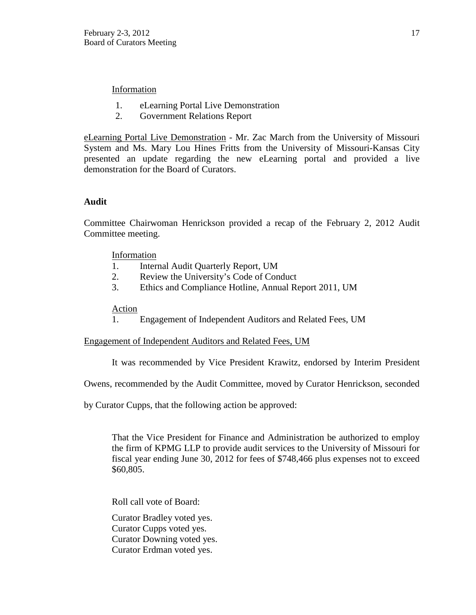# Information

- 1. eLearning Portal Live Demonstration
- 2. Government Relations Report

eLearning Portal Live Demonstration - Mr. Zac March from the University of Missouri System and Ms. Mary Lou Hines Fritts from the University of Missouri-Kansas City presented an update regarding the new eLearning portal and provided a live demonstration for the Board of Curators.

# **Audit**

Committee Chairwoman Henrickson provided a recap of the February 2, 2012 Audit Committee meeting.

# Information

- 1. Internal Audit Quarterly Report, UM
- 2. Review the University's Code of Conduct
- 3. Ethics and Compliance Hotline, Annual Report 2011, UM

# Action

1. Engagement of Independent Auditors and Related Fees, UM

# Engagement of Independent Auditors and Related Fees, UM

It was recommended by Vice President Krawitz, endorsed by Interim President

Owens, recommended by the Audit Committee, moved by Curator Henrickson, seconded

by Curator Cupps, that the following action be approved:

That the Vice President for Finance and Administration be authorized to employ the firm of KPMG LLP to provide audit services to the University of Missouri for fiscal year ending June 30, 2012 for fees of \$748,466 plus expenses not to exceed \$60,805.

Roll call vote of Board:

Curator Bradley voted yes. Curator Cupps voted yes. Curator Downing voted yes. Curator Erdman voted yes.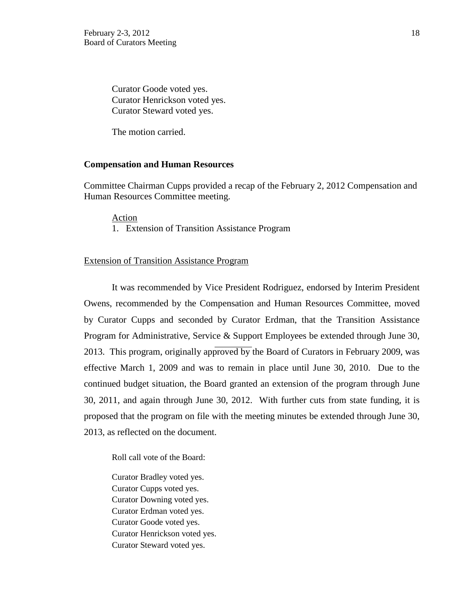Curator Goode voted yes. Curator Henrickson voted yes. Curator Steward voted yes.

The motion carried.

#### **Compensation and Human Resources**

Committee Chairman Cupps provided a recap of the February 2, 2012 Compensation and Human Resources Committee meeting.

#### Action

1. Extension of Transition Assistance Program

#### Extension of Transition Assistance Program

It was recommended by Vice President Rodriguez, endorsed by Interim President Owens, recommended by the Compensation and Human Resources Committee, moved by Curator Cupps and seconded by Curator Erdman, that the Transition Assistance Program for Administrative, Service & Support Employees be extended through June 30, 2013. This program, originally approved by the Board of Curators in February 2009, was effective March 1, 2009 and was to remain in place until June 30, 2010. Due to the continued budget situation, the Board granted an extension of the program through June 30, 2011, and again through June 30, 2012. With further cuts from state funding, it is proposed that the program on file with the meeting minutes be extended through June 30, 2013, as reflected on the document.

Roll call vote of the Board:

Curator Bradley voted yes. Curator Cupps voted yes. Curator Downing voted yes. Curator Erdman voted yes. Curator Goode voted yes. Curator Henrickson voted yes. Curator Steward voted yes.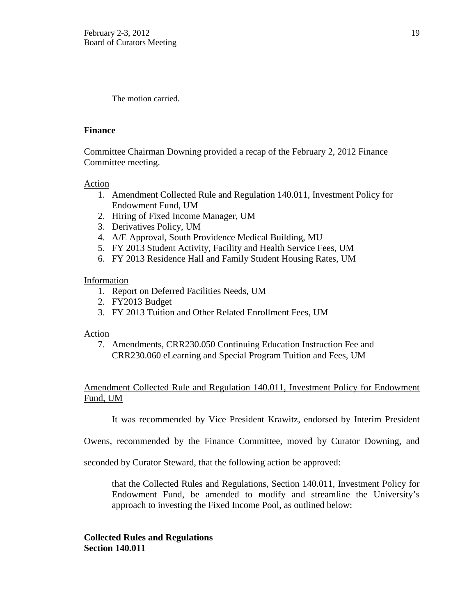The motion carried.

## **Finance**

Committee Chairman Downing provided a recap of the February 2, 2012 Finance Committee meeting.

## Action

- 1. Amendment Collected Rule and Regulation 140.011, Investment Policy for Endowment Fund, UM
- 2. Hiring of Fixed Income Manager, UM
- 3. Derivatives Policy, UM
- 4. A/E Approval, South Providence Medical Building, MU
- 5. FY 2013 Student Activity, Facility and Health Service Fees, UM
- 6. FY 2013 Residence Hall and Family Student Housing Rates, UM

# Information

- 1. Report on Deferred Facilities Needs, UM
- 2. FY2013 Budget
- 3. FY 2013 Tuition and Other Related Enrollment Fees, UM

#### Action

7. Amendments, CRR230.050 Continuing Education Instruction Fee and CRR230.060 eLearning and Special Program Tuition and Fees, UM

# Amendment Collected Rule and Regulation 140.011, Investment Policy for Endowment Fund, UM

It was recommended by Vice President Krawitz, endorsed by Interim President

Owens, recommended by the Finance Committee, moved by Curator Downing, and

seconded by Curator Steward, that the following action be approved:

that the Collected Rules and Regulations, Section 140.011, Investment Policy for Endowment Fund, be amended to modify and streamline the University's approach to investing the Fixed Income Pool, as outlined below:

**Collected Rules and Regulations Section 140.011**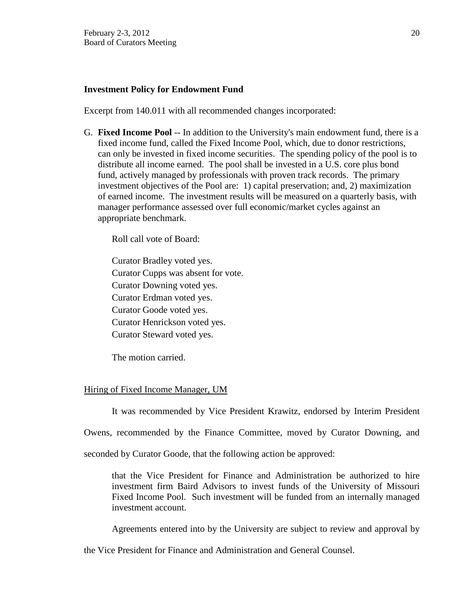#### **Investment Policy for Endowment Fund**

Excerpt from 140.011 with all recommended changes incorporated:

G. **Fixed Income Pool** -- In addition to the University's main endowment fund, there is a fixed income fund, called the Fixed Income Pool, which, due to donor restrictions, can only be invested in fixed income securities. The spending policy of the pool is to distribute all income earned. The pool shall be invested in a U.S. core plus bond fund, actively managed by professionals with proven track records. The primary investment objectives of the Pool are: 1) capital preservation; and, 2) maximization of earned income. The investment results will be measured on a quarterly basis, with manager performance assessed over full economic/market cycles against an appropriate benchmark.

Roll call vote of Board:

Curator Bradley voted yes. Curator Cupps was absent for vote. Curator Downing voted yes. Curator Erdman voted yes. Curator Goode voted yes. Curator Henrickson voted yes. Curator Steward voted yes.

The motion carried.

#### Hiring of Fixed Income Manager, UM

It was recommended by Vice President Krawitz, endorsed by Interim President

Owens, recommended by the Finance Committee, moved by Curator Downing, and

seconded by Curator Goode, that the following action be approved:

that the Vice President for Finance and Administration be authorized to hire investment firm Baird Advisors to invest funds of the University of Missouri Fixed Income Pool. Such investment will be funded from an internally managed investment account.

Agreements entered into by the University are subject to review and approval by

the Vice President for Finance and Administration and General Counsel.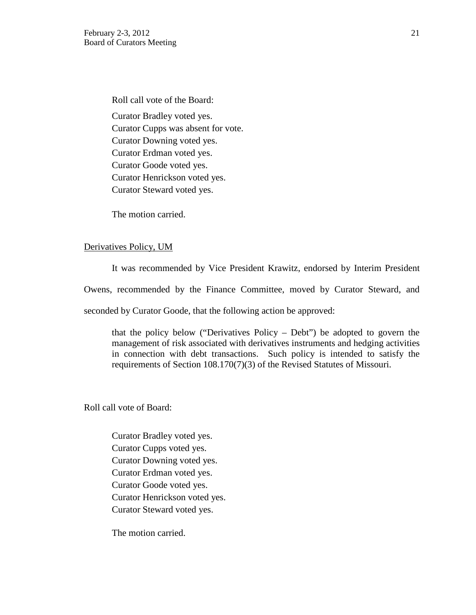Roll call vote of the Board: Curator Bradley voted yes. Curator Cupps was absent for vote. Curator Downing voted yes. Curator Erdman voted yes. Curator Goode voted yes. Curator Henrickson voted yes. Curator Steward voted yes.

The motion carried.

#### Derivatives Policy, UM

It was recommended by Vice President Krawitz, endorsed by Interim President

Owens, recommended by the Finance Committee, moved by Curator Steward, and

seconded by Curator Goode, that the following action be approved:

that the policy below ("Derivatives Policy – Debt") be adopted to govern the management of risk associated with derivatives instruments and hedging activities in connection with debt transactions. Such policy is intended to satisfy the requirements of Section 108.170(7)(3) of the Revised Statutes of Missouri.

Roll call vote of Board:

Curator Bradley voted yes. Curator Cupps voted yes. Curator Downing voted yes. Curator Erdman voted yes. Curator Goode voted yes. Curator Henrickson voted yes. Curator Steward voted yes.

The motion carried.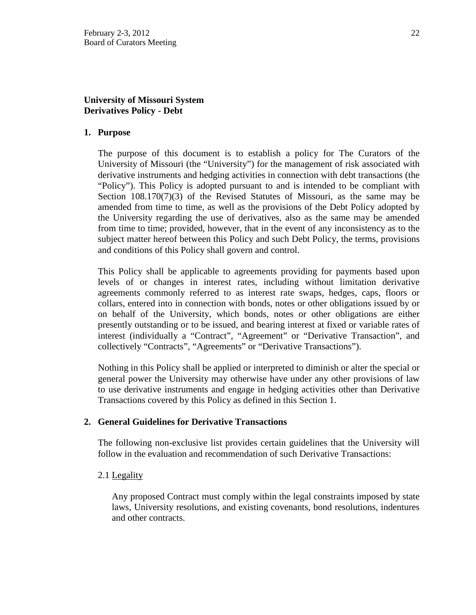# **University of Missouri System Derivatives Policy - Debt**

## **1. Purpose**

The purpose of this document is to establish a policy for The Curators of the University of Missouri (the "University") for the management of risk associated with derivative instruments and hedging activities in connection with debt transactions (the "Policy"). This Policy is adopted pursuant to and is intended to be compliant with Section 108.170(7)(3) of the Revised Statutes of Missouri, as the same may be amended from time to time, as well as the provisions of the Debt Policy adopted by the University regarding the use of derivatives, also as the same may be amended from time to time; provided, however, that in the event of any inconsistency as to the subject matter hereof between this Policy and such Debt Policy, the terms, provisions and conditions of this Policy shall govern and control.

This Policy shall be applicable to agreements providing for payments based upon levels of or changes in interest rates, including without limitation derivative agreements commonly referred to as interest rate swaps, hedges, caps, floors or collars, entered into in connection with bonds, notes or other obligations issued by or on behalf of the University, which bonds, notes or other obligations are either presently outstanding or to be issued, and bearing interest at fixed or variable rates of interest (individually a "Contract", "Agreement" or "Derivative Transaction", and collectively "Contracts", "Agreements" or "Derivative Transactions").

Nothing in this Policy shall be applied or interpreted to diminish or alter the special or general power the University may otherwise have under any other provisions of law to use derivative instruments and engage in hedging activities other than Derivative Transactions covered by this Policy as defined in this Section 1.

#### **2. General Guidelines for Derivative Transactions**

The following non-exclusive list provides certain guidelines that the University will follow in the evaluation and recommendation of such Derivative Transactions:

#### 2.1 Legality

Any proposed Contract must comply within the legal constraints imposed by state laws, University resolutions, and existing covenants, bond resolutions, indentures and other contracts.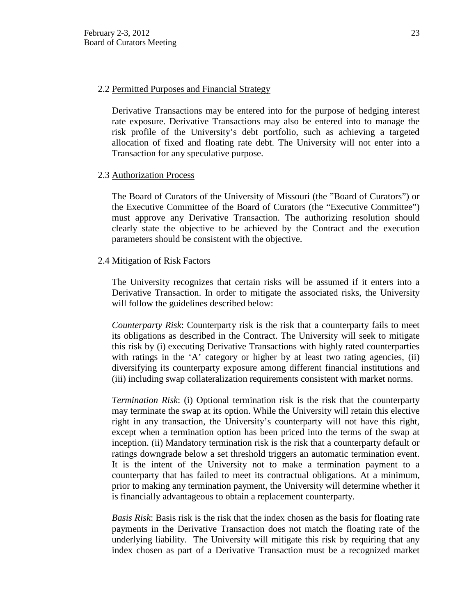## 2.2 Permitted Purposes and Financial Strategy

Derivative Transactions may be entered into for the purpose of hedging interest rate exposure. Derivative Transactions may also be entered into to manage the risk profile of the University's debt portfolio, such as achieving a targeted allocation of fixed and floating rate debt. The University will not enter into a Transaction for any speculative purpose.

# 2.3 Authorization Process

The Board of Curators of the University of Missouri (the "Board of Curators") or the Executive Committee of the Board of Curators (the "Executive Committee") must approve any Derivative Transaction. The authorizing resolution should clearly state the objective to be achieved by the Contract and the execution parameters should be consistent with the objective.

# 2.4 Mitigation of Risk Factors

The University recognizes that certain risks will be assumed if it enters into a Derivative Transaction. In order to mitigate the associated risks, the University will follow the guidelines described below:

*Counterparty Risk*: Counterparty risk is the risk that a counterparty fails to meet its obligations as described in the Contract. The University will seek to mitigate this risk by (i) executing Derivative Transactions with highly rated counterparties with ratings in the 'A' category or higher by at least two rating agencies, (ii) diversifying its counterparty exposure among different financial institutions and (iii) including swap collateralization requirements consistent with market norms.

*Termination Risk*: (i) Optional termination risk is the risk that the counterparty may terminate the swap at its option. While the University will retain this elective right in any transaction, the University's counterparty will not have this right, except when a termination option has been priced into the terms of the swap at inception. (ii) Mandatory termination risk is the risk that a counterparty default or ratings downgrade below a set threshold triggers an automatic termination event. It is the intent of the University not to make a termination payment to a counterparty that has failed to meet its contractual obligations. At a minimum, prior to making any termination payment, the University will determine whether it is financially advantageous to obtain a replacement counterparty.

*Basis Risk*: Basis risk is the risk that the index chosen as the basis for floating rate payments in the Derivative Transaction does not match the floating rate of the underlying liability. The University will mitigate this risk by requiring that any index chosen as part of a Derivative Transaction must be a recognized market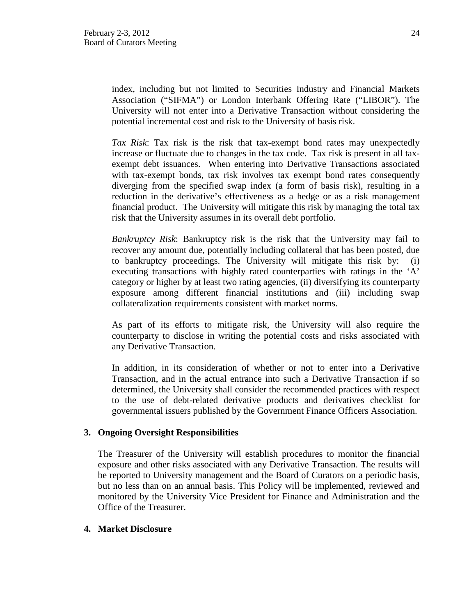index, including but not limited to Securities Industry and Financial Markets Association ("SIFMA") or London Interbank Offering Rate ("LIBOR"). The University will not enter into a Derivative Transaction without considering the potential incremental cost and risk to the University of basis risk.

*Tax Risk*: Tax risk is the risk that tax-exempt bond rates may unexpectedly increase or fluctuate due to changes in the tax code. Tax risk is present in all taxexempt debt issuances. When entering into Derivative Transactions associated with tax-exempt bonds, tax risk involves tax exempt bond rates consequently diverging from the specified swap index (a form of basis risk), resulting in a reduction in the derivative's effectiveness as a hedge or as a risk management financial product. The University will mitigate this risk by managing the total tax risk that the University assumes in its overall debt portfolio.

*Bankruptcy Risk*: Bankruptcy risk is the risk that the University may fail to recover any amount due, potentially including collateral that has been posted, due to bankruptcy proceedings. The University will mitigate this risk by: (i) executing transactions with highly rated counterparties with ratings in the 'A' category or higher by at least two rating agencies, (ii) diversifying its counterparty exposure among different financial institutions and (iii) including swap collateralization requirements consistent with market norms.

As part of its efforts to mitigate risk, the University will also require the counterparty to disclose in writing the potential costs and risks associated with any Derivative Transaction.

In addition, in its consideration of whether or not to enter into a Derivative Transaction, and in the actual entrance into such a Derivative Transaction if so determined, the University shall consider the recommended practices with respect to the use of debt-related derivative products and derivatives checklist for governmental issuers published by the Government Finance Officers Association.

# **3. Ongoing Oversight Responsibilities**

The Treasurer of the University will establish procedures to monitor the financial exposure and other risks associated with any Derivative Transaction. The results will be reported to University management and the Board of Curators on a periodic basis, but no less than on an annual basis. This Policy will be implemented, reviewed and monitored by the University Vice President for Finance and Administration and the Office of the Treasurer.

#### **4. Market Disclosure**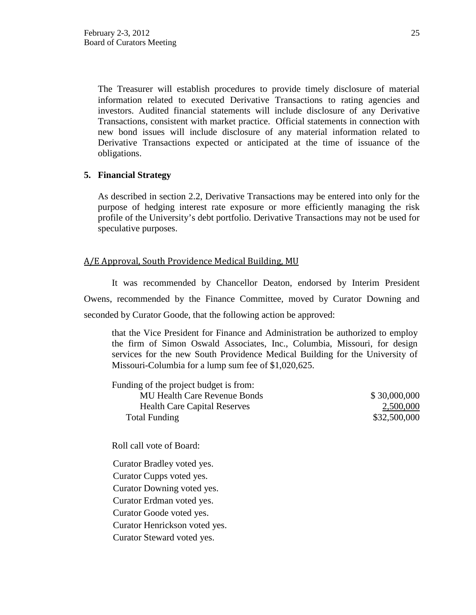The Treasurer will establish procedures to provide timely disclosure of material information related to executed Derivative Transactions to rating agencies and investors. Audited financial statements will include disclosure of any Derivative Transactions, consistent with market practice. Official statements in connection with new bond issues will include disclosure of any material information related to Derivative Transactions expected or anticipated at the time of issuance of the obligations.

# **5. Financial Strategy**

As described in section 2.2, Derivative Transactions may be entered into only for the purpose of hedging interest rate exposure or more efficiently managing the risk profile of the University's debt portfolio. Derivative Transactions may not be used for speculative purposes.

# A/E Approval, South Providence Medical Building, MU

It was recommended by Chancellor Deaton, endorsed by Interim President Owens, recommended by the Finance Committee, moved by Curator Downing and seconded by Curator Goode, that the following action be approved:

that the Vice President for Finance and Administration be authorized to employ the firm of Simon Oswald Associates, Inc., Columbia, Missouri, for design services for the new South Providence Medical Building for the University of Missouri-Columbia for a lump sum fee of \$1,020,625.

| Funding of the project budget is from: |              |
|----------------------------------------|--------------|
| <b>MU Health Care Revenue Bonds</b>    | \$30,000,000 |
| <b>Health Care Capital Reserves</b>    | 2,500,000    |
| Total Funding                          | \$32,500,000 |

Roll call vote of Board:

Curator Bradley voted yes. Curator Cupps voted yes. Curator Downing voted yes. Curator Erdman voted yes. Curator Goode voted yes. Curator Henrickson voted yes. Curator Steward voted yes.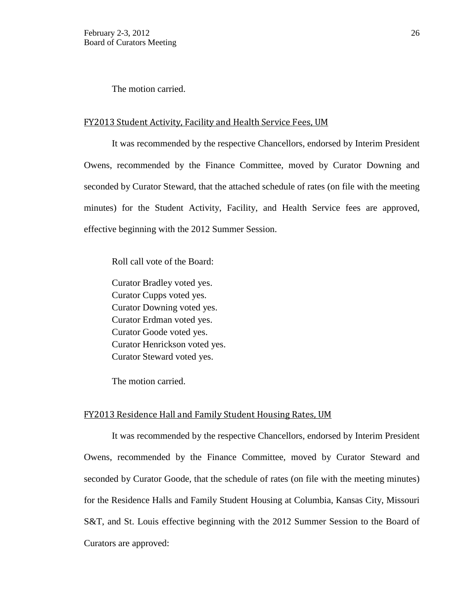The motion carried.

#### FY2013 Student Activity, Facility and Health Service Fees, UM

It was recommended by the respective Chancellors, endorsed by Interim President Owens, recommended by the Finance Committee, moved by Curator Downing and seconded by Curator Steward, that the attached schedule of rates (on file with the meeting minutes) for the Student Activity, Facility, and Health Service fees are approved, effective beginning with the 2012 Summer Session.

Roll call vote of the Board:

Curator Bradley voted yes. Curator Cupps voted yes. Curator Downing voted yes. Curator Erdman voted yes. Curator Goode voted yes. Curator Henrickson voted yes. Curator Steward voted yes.

The motion carried.

#### FY2013 Residence Hall and Family Student Housing Rates, UM

It was recommended by the respective Chancellors, endorsed by Interim President Owens, recommended by the Finance Committee, moved by Curator Steward and seconded by Curator Goode, that the schedule of rates (on file with the meeting minutes) for the Residence Halls and Family Student Housing at Columbia, Kansas City, Missouri S&T, and St. Louis effective beginning with the 2012 Summer Session to the Board of Curators are approved: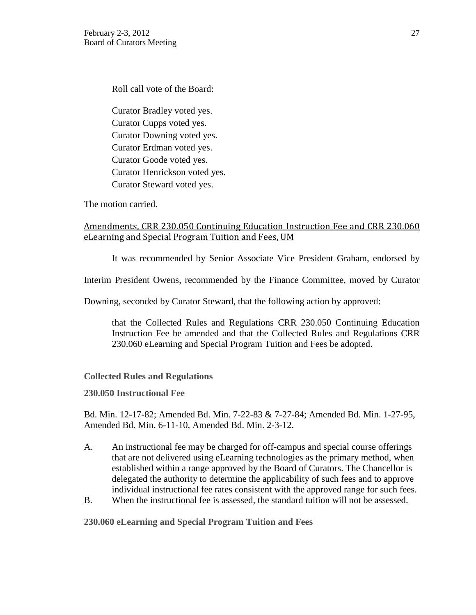Roll call vote of the Board:

Curator Bradley voted yes. Curator Cupps voted yes. Curator Downing voted yes. Curator Erdman voted yes. Curator Goode voted yes. Curator Henrickson voted yes. Curator Steward voted yes.

The motion carried.

# Amendments, CRR 230.050 Continuing Education Instruction Fee and CRR 230.060 eLearning and Special Program Tuition and Fees, UM

It was recommended by Senior Associate Vice President Graham, endorsed by

Interim President Owens, recommended by the Finance Committee, moved by Curator

Downing, seconded by Curator Steward, that the following action by approved:

that the Collected Rules and Regulations CRR 230.050 Continuing Education Instruction Fee be amended and that the Collected Rules and Regulations CRR 230.060 eLearning and Special Program Tuition and Fees be adopted.

# **Collected Rules and Regulations**

**230.050 Instructional Fee** 

Bd. Min. 12-17-82; Amended Bd. Min. 7-22-83 & 7-27-84; Amended Bd. Min. 1-27-95, Amended Bd. Min. 6-11-10, Amended Bd. Min. 2-3-12.

- A. An instructional fee may be charged for off-campus and special course offerings that are not delivered using eLearning technologies as the primary method, when established within a range approved by the Board of Curators. The Chancellor is delegated the authority to determine the applicability of such fees and to approve individual instructional fee rates consistent with the approved range for such fees.
- B. When the instructional fee is assessed, the standard tuition will not be assessed.

**230.060 eLearning and Special Program Tuition and Fees**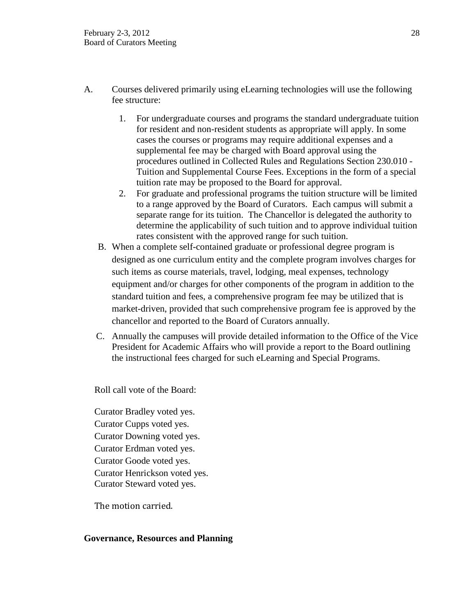- A. Courses delivered primarily using eLearning technologies will use the following fee structure:
	- 1. For undergraduate courses and programs the standard undergraduate tuition for resident and non-resident students as appropriate will apply. In some cases the courses or programs may require additional expenses and a supplemental fee may be charged with Board approval using the procedures outlined in Collected Rules and Regulations Section 230.010 - Tuition and Supplemental Course Fees. Exceptions in the form of a special tuition rate may be proposed to the Board for approval.
	- 2. For graduate and professional programs the tuition structure will be limited to a range approved by the Board of Curators. Each campus will submit a separate range for its tuition. The Chancellor is delegated the authority to determine the applicability of such tuition and to approve individual tuition rates consistent with the approved range for such tuition.
	- B. When a complete self-contained graduate or professional degree program is designed as one curriculum entity and the complete program involves charges for such items as course materials, travel, lodging, meal expenses, technology equipment and/or charges for other components of the program in addition to the standard tuition and fees, a comprehensive program fee may be utilized that is market-driven, provided that such comprehensive program fee is approved by the chancellor and reported to the Board of Curators annually.
	- C. Annually the campuses will provide detailed information to the Office of the Vice President for Academic Affairs who will provide a report to the Board outlining the instructional fees charged for such eLearning and Special Programs.

Roll call vote of the Board:

Curator Bradley voted yes. Curator Cupps voted yes. Curator Downing voted yes. Curator Erdman voted yes. Curator Goode voted yes. Curator Henrickson voted yes. Curator Steward voted yes.

The motion carried.

# **Governance, Resources and Planning**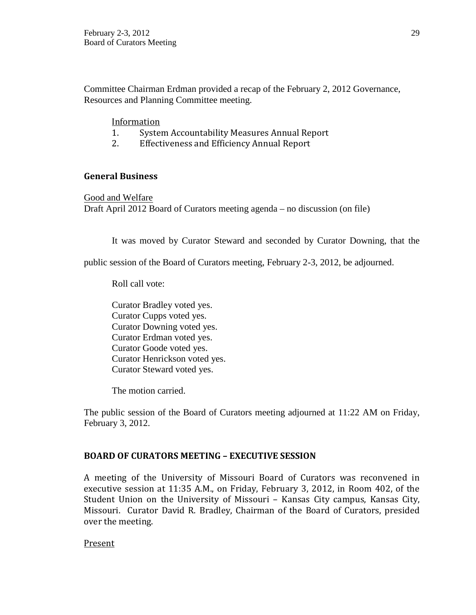Committee Chairman Erdman provided a recap of the February 2, 2012 Governance, Resources and Planning Committee meeting.

# Information<br>1. Syster

- 1. System Accountability Measures Annual Report<br>2. Effectiveness and Efficiency Annual Report
- 2. Effectiveness and Efficiency Annual Report

# **General Business**

Good and Welfare Draft April 2012 Board of Curators meeting agenda – no discussion (on file)

It was moved by Curator Steward and seconded by Curator Downing, that the

public session of the Board of Curators meeting, February 2-3, 2012, be adjourned.

Roll call vote:

Curator Bradley voted yes. Curator Cupps voted yes. Curator Downing voted yes. Curator Erdman voted yes. Curator Goode voted yes. Curator Henrickson voted yes. Curator Steward voted yes.

The motion carried.

The public session of the Board of Curators meeting adjourned at 11:22 AM on Friday, February 3, 2012.

# **BOARD OF CURATORS MEETING – EXECUTIVE SESSION**

A meeting of the University of Missouri Board of Curators was reconvened in executive session at 11:35 A.M., on Friday, February 3, 2012, in Room 402, of the Student Union on the University of Missouri – Kansas City campus, Kansas City, Missouri. Curator David R. Bradley, Chairman of the Board of Curators, presided over the meeting.

Present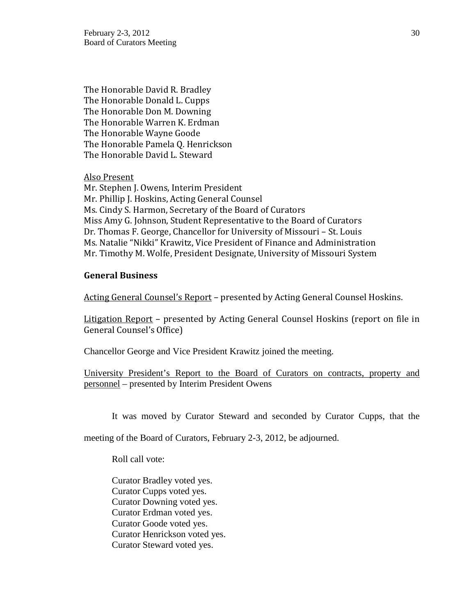The Honorable David R. Bradley The Honorable Donald L. Cupps The Honorable Don M. Downing The Honorable Warren K. Erdman The Honorable Wayne Goode The Honorable Pamela Q. Henrickson The Honorable David L. Steward

Also Present

Mr. Stephen J. Owens, Interim President Mr. Phillip J. Hoskins, Acting General Counsel Ms. Cindy S. Harmon, Secretary of the Board of Curators Miss Amy G. Johnson, Student Representative to the Board of Curators Dr. Thomas F. George, Chancellor for University of Missouri – St. Louis Ms. Natalie "Nikki" Krawitz, Vice President of Finance and Administration Mr. Timothy M. Wolfe, President Designate, University of Missouri System

## **General Business**

Acting General Counsel's Report – presented by Acting General Counsel Hoskins.

Litigation Report – presented by Acting General Counsel Hoskins (report on file in General Counsel's Office)

Chancellor George and Vice President Krawitz joined the meeting.

University President's Report to the Board of Curators on contracts, property and personnel – presented by Interim President Owens

It was moved by Curator Steward and seconded by Curator Cupps, that the

meeting of the Board of Curators, February 2-3, 2012, be adjourned.

Roll call vote:

Curator Bradley voted yes. Curator Cupps voted yes. Curator Downing voted yes. Curator Erdman voted yes. Curator Goode voted yes. Curator Henrickson voted yes. Curator Steward voted yes.